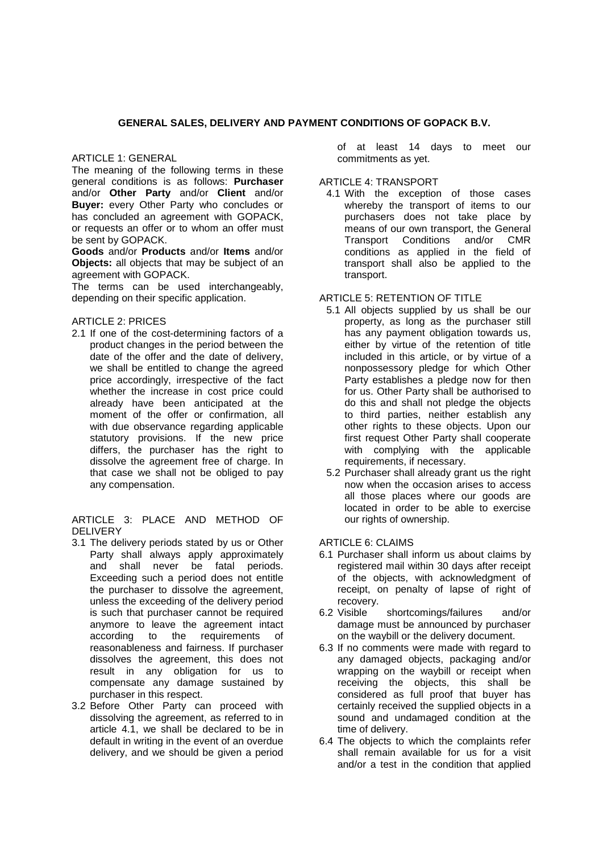### **GENERAL SALES, DELIVERY AND PAYMENT CONDITIONS OF GOPACK B.V.**

#### ARTICLE 1: GENERAL

The meaning of the following terms in these general conditions is as follows: **Purchaser** and/or **Other Party** and/or **Client** and/or **Buyer:** every Other Party who concludes or has concluded an agreement with GOPACK, or requests an offer or to whom an offer must be sent by GOPACK.

**Goods** and/or **Products** and/or **Items** and/or **Objects:** all objects that may be subject of an agreement with GOPACK.

The terms can be used interchangeably, depending on their specific application.

#### ARTICLE 2: PRICES

2.1 If one of the cost-determining factors of a product changes in the period between the date of the offer and the date of delivery, we shall be entitled to change the agreed price accordingly, irrespective of the fact whether the increase in cost price could already have been anticipated at the moment of the offer or confirmation, all with due observance regarding applicable statutory provisions. If the new price differs, the purchaser has the right to dissolve the agreement free of charge. In that case we shall not be obliged to pay any compensation.

ARTICLE 3: PLACE AND METHOD OF DELIVERY

- 3.1 The delivery periods stated by us or Other Party shall always apply approximately and shall never be fatal periods. Exceeding such a period does not entitle the purchaser to dissolve the agreement, unless the exceeding of the delivery period is such that purchaser cannot be required anymore to leave the agreement intact according to the requirements of reasonableness and fairness. If purchaser dissolves the agreement, this does not result in any obligation for us to compensate any damage sustained by purchaser in this respect.
- 3.2 Before Other Party can proceed with dissolving the agreement, as referred to in article 4.1, we shall be declared to be in default in writing in the event of an overdue delivery, and we should be given a period

of at least 14 days to meet our commitments as yet.

#### ARTICLE 4: TRANSPORT

4.1 With the exception of those cases whereby the transport of items to our purchasers does not take place by means of our own transport, the General Transport Conditions and/or CMR conditions as applied in the field of transport shall also be applied to the transport.

# ARTICLE 5: RETENTION OF TITLE

- 5.1 All objects supplied by us shall be our property, as long as the purchaser still has any payment obligation towards us, either by virtue of the retention of title included in this article, or by virtue of a nonpossessory pledge for which Other Party establishes a pledge now for then for us. Other Party shall be authorised to do this and shall not pledge the objects to third parties, neither establish any other rights to these objects. Upon our first request Other Party shall cooperate with complying with the applicable requirements, if necessary.
- 5.2 Purchaser shall already grant us the right now when the occasion arises to access all those places where our goods are located in order to be able to exercise our rights of ownership.

#### ARTICLE 6: CLAIMS

- 6.1 Purchaser shall inform us about claims by registered mail within 30 days after receipt of the objects, with acknowledgment of receipt, on penalty of lapse of right of recovery.
- 6.2 Visible shortcomings/failures and/or damage must be announced by purchaser on the waybill or the delivery document.
- 6.3 If no comments were made with regard to any damaged objects, packaging and/or wrapping on the waybill or receipt when receiving the objects, this shall be considered as full proof that buyer has certainly received the supplied objects in a sound and undamaged condition at the time of delivery.
- 6.4 The objects to which the complaints refer shall remain available for us for a visit and/or a test in the condition that applied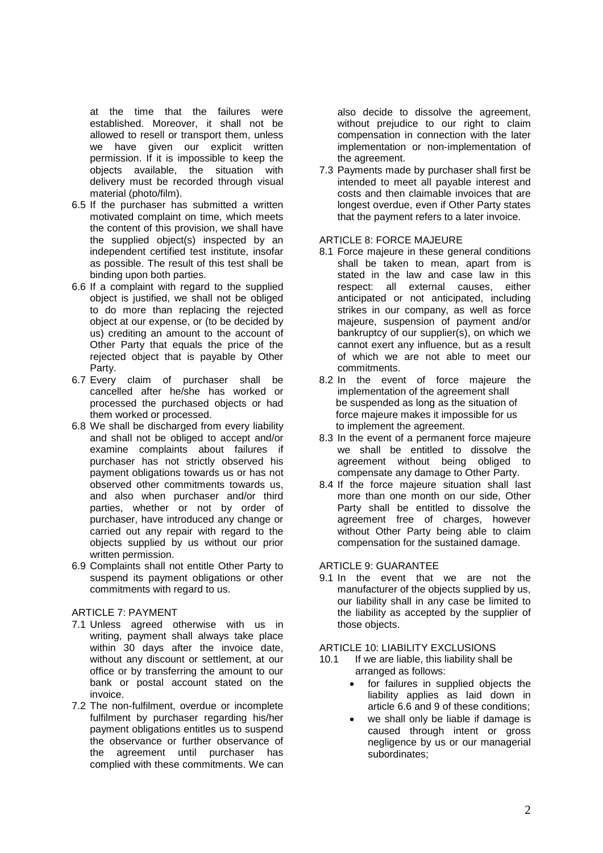at the time that the failures were established. Moreover, it shall not be allowed to resell or transport them, unless we have given our explicit written permission. If it is impossible to keep the objects available, the situation with delivery must be recorded through visual material (photo/film).

- 6.5 If the purchaser has submitted a written motivated complaint on time, which meets the content of this provision, we shall have the supplied object(s) inspected by an independent certified test institute, insofar as possible. The result of this test shall be binding upon both parties.
- 6.6 If a complaint with regard to the supplied object is justified, we shall not be obliged to do more than replacing the rejected object at our expense, or (to be decided by us) crediting an amount to the account of Other Party that equals the price of the rejected object that is payable by Other Party.
- 6.7 Every claim of purchaser shall be cancelled after he/she has worked or processed the purchased objects or had them worked or processed.
- 6.8 We shall be discharged from every liability and shall not be obliged to accept and/or examine complaints about failures if purchaser has not strictly observed his payment obligations towards us or has not observed other commitments towards us, and also when purchaser and/or third parties, whether or not by order of purchaser, have introduced any change or carried out any repair with regard to the objects supplied by us without our prior written permission.
- 6.9 Complaints shall not entitle Other Party to suspend its payment obligations or other commitments with regard to us.

#### ARTICLE 7: PAYMENT

- 7.1 Unless agreed otherwise with us in writing, payment shall always take place within 30 days after the invoice date, without any discount or settlement, at our office or by transferring the amount to our bank or postal account stated on the invoice.
- 7.2 The non-fulfilment, overdue or incomplete fulfilment by purchaser regarding his/her payment obligations entitles us to suspend the observance or further observance of the agreement until purchaser has complied with these commitments. We can

also decide to dissolve the agreement, without prejudice to our right to claim compensation in connection with the later implementation or non-implementation of the agreement.

7.3 Payments made by purchaser shall first be intended to meet all payable interest and costs and then claimable invoices that are longest overdue, even if Other Party states that the payment refers to a later invoice.

# ARTICLE 8: FORCE MAJEURE

- 8.1 Force majeure in these general conditions shall be taken to mean, apart from is stated in the law and case law in this respect: all external causes, either anticipated or not anticipated, including strikes in our company, as well as force majeure, suspension of payment and/or bankruptcy of our supplier(s), on which we cannot exert any influence, but as a result of which we are not able to meet our commitments.
- 8.2 In the event of force majeure the implementation of the agreement shall be suspended as long as the situation of force majeure makes it impossible for us to implement the agreement.
- 8.3 In the event of a permanent force majeure we shall be entitled to dissolve the agreement without being obliged to compensate any damage to Other Party.
- 8.4 If the force majeure situation shall last more than one month on our side, Other Party shall be entitled to dissolve the agreement free of charges, however without Other Party being able to claim compensation for the sustained damage.

# ARTICLE 9: GUARANTEE

9.1 In the event that we are not the manufacturer of the objects supplied by us, our liability shall in any case be limited to the liability as accepted by the supplier of those objects.

# ARTICLE 10: LIABILITY EXCLUSIONS<br>10.1 If we are liable, this liability shall

- If we are liable, this liability shall be arranged as follows:
	- for failures in supplied objects the liability applies as laid down in article 6.6 and 9 of these conditions;
	- we shall only be liable if damage is caused through intent or gross negligence by us or our managerial subordinates;